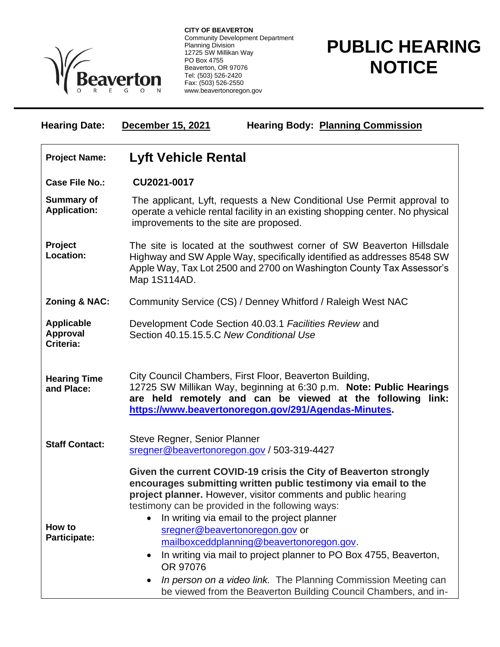

**CITY OF BEAVERTON** Community Development Department Planning Division 12725 SW Millikan Way PO Box 4755 Beaverton, OR 97076 Tel: (503) 526-2420 Fax: (503) 526-2550 www.beavertonoregon.gov

## **PUBLIC HEARING NOTICE**

| <b>Hearing Date:</b>                       | <b>December 15, 2021</b><br><b>Hearing Body: Planning Commission</b>                                                                                                                                                                                                                                                                                                                                                                                                                                                                                                                                                                  |
|--------------------------------------------|---------------------------------------------------------------------------------------------------------------------------------------------------------------------------------------------------------------------------------------------------------------------------------------------------------------------------------------------------------------------------------------------------------------------------------------------------------------------------------------------------------------------------------------------------------------------------------------------------------------------------------------|
| <b>Project Name:</b>                       | <b>Lyft Vehicle Rental</b>                                                                                                                                                                                                                                                                                                                                                                                                                                                                                                                                                                                                            |
| <b>Case File No.:</b>                      | CU2021-0017                                                                                                                                                                                                                                                                                                                                                                                                                                                                                                                                                                                                                           |
| <b>Summary of</b><br><b>Application:</b>   | The applicant, Lyft, requests a New Conditional Use Permit approval to<br>operate a vehicle rental facility in an existing shopping center. No physical<br>improvements to the site are proposed.                                                                                                                                                                                                                                                                                                                                                                                                                                     |
| <b>Project</b><br>Location:                | The site is located at the southwest corner of SW Beaverton Hillsdale<br>Highway and SW Apple Way, specifically identified as addresses 8548 SW<br>Apple Way, Tax Lot 2500 and 2700 on Washington County Tax Assessor's<br>Map 1S114AD.                                                                                                                                                                                                                                                                                                                                                                                               |
| <b>Zoning &amp; NAC:</b>                   | Community Service (CS) / Denney Whitford / Raleigh West NAC                                                                                                                                                                                                                                                                                                                                                                                                                                                                                                                                                                           |
| <b>Applicable</b><br>Approval<br>Criteria: | Development Code Section 40.03.1 Facilities Review and<br>Section 40.15.15.5.C New Conditional Use                                                                                                                                                                                                                                                                                                                                                                                                                                                                                                                                    |
| <b>Hearing Time</b><br>and Place:          | City Council Chambers, First Floor, Beaverton Building,<br>12725 SW Millikan Way, beginning at 6:30 p.m. Note: Public Hearings<br>are held remotely and can be viewed at the following link:<br>https://www.beavertonoregon.gov/291/Agendas-Minutes.                                                                                                                                                                                                                                                                                                                                                                                  |
| <b>Staff Contact:</b>                      | Steve Regner, Senior Planner<br>sregner@beavertonoregon.gov / 503-319-4427                                                                                                                                                                                                                                                                                                                                                                                                                                                                                                                                                            |
| How to<br>Participate:                     | Given the current COVID-19 crisis the City of Beaverton strongly<br>encourages submitting written public testimony via email to the<br>project planner. However, visitor comments and public hearing<br>testimony can be provided in the following ways:<br>In writing via email to the project planner<br>sregner@beavertonoregon.gov or<br>mailboxceddplanning@beavertonoregon.gov.<br>In writing via mail to project planner to PO Box 4755, Beaverton,<br>$\bullet$<br>OR 97076<br>In person on a video link. The Planning Commission Meeting can<br>$\bullet$<br>be viewed from the Beaverton Building Council Chambers, and in- |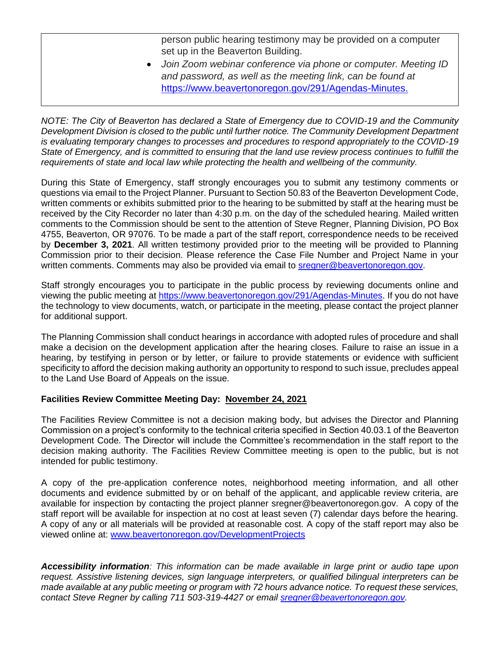person public hearing testimony may be provided on a computer set up in the Beaverton Building.

• *Join Zoom webinar conference via phone or computer. Meeting ID and password, as well as the meeting link, can be found at*  [https://www.beavertonoregon.gov/291/Agendas-Minutes.](https://www.beavertonoregon.gov/291/Agendas-Minutes)

*NOTE: The City of Beaverton has declared a State of Emergency due to COVID-19 and the Community Development Division is closed to the public until further notice. The Community Development Department is evaluating temporary changes to processes and procedures to respond appropriately to the COVID-19 State of Emergency, and is committed to ensuring that the land use review process continues to fulfill the requirements of state and local law while protecting the health and wellbeing of the community.*

During this State of Emergency, staff strongly encourages you to submit any testimony comments or questions via email to the Project Planner. Pursuant to Section 50.83 of the Beaverton Development Code, written comments or exhibits submitted prior to the hearing to be submitted by staff at the hearing must be received by the City Recorder no later than 4:30 p.m. on the day of the scheduled hearing. Mailed written comments to the Commission should be sent to the attention of Steve Regner, Planning Division, PO Box 4755, Beaverton, OR 97076. To be made a part of the staff report, correspondence needs to be received by **December 3, 2021**. All written testimony provided prior to the meeting will be provided to Planning Commission prior to their decision. Please reference the Case File Number and Project Name in your written comments. Comments may also be provided via email to [sregner@beavertonoregon.gov.](mailto:sregner@beavertonoregon.gov)

Staff strongly encourages you to participate in the public process by reviewing documents online and viewing the public meeting at [https://www.beavertonoregon.gov/291/Agendas-Minutes.](https://www.beavertonoregon.gov/291/Agendas-Minutes) If you do not have the technology to view documents, watch, or participate in the meeting, please contact the project planner for additional support.

The Planning Commission shall conduct hearings in accordance with adopted rules of procedure and shall make a decision on the development application after the hearing closes. Failure to raise an issue in a hearing, by testifying in person or by letter, or failure to provide statements or evidence with sufficient specificity to afford the decision making authority an opportunity to respond to such issue, precludes appeal to the Land Use Board of Appeals on the issue.

## **Facilities Review Committee Meeting Day: November 24, 2021**

The Facilities Review Committee is not a decision making body, but advises the Director and Planning Commission on a project's conformity to the technical criteria specified in Section 40.03.1 of the Beaverton Development Code. The Director will include the Committee's recommendation in the staff report to the decision making authority. The Facilities Review Committee meeting is open to the public, but is not intended for public testimony.

A copy of the pre-application conference notes, neighborhood meeting information, and all other documents and evidence submitted by or on behalf of the applicant, and applicable review criteria, are available for inspection by contacting the project planner sregner@beavertonoregon.gov. A copy of the staff report will be available for inspection at no cost at least seven (7) calendar days before the hearing. A copy of any or all materials will be provided at reasonable cost. A copy of the staff report may also be viewed online at: [www.beavertonoregon.gov/DevelopmentProjects](http://www.beavertonoregon.gov/DevelopmentProjects)

*Accessibility information: This information can be made available in large print or audio tape upon request. Assistive listening devices, sign language interpreters, or qualified bilingual interpreters can be made available at any public meeting or program with 72 hours advance notice. To request these services, contact Steve Regner by calling 711 503-319-4427 or email [sregner@beavertonoregon.gov.](mailto:sregner@beavertonoregon.gov)*